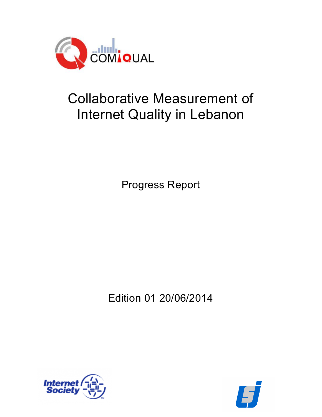

# Collaborative Measurement of Internet Quality in Lebanon

Progress Report

Edition 01 20/06/2014



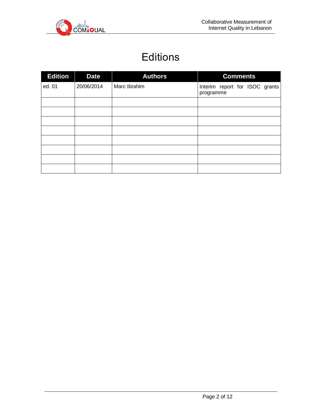

## **Editions**

| <b>Edition</b> | <b>Date</b> | <b>Authors</b> | <b>Comments</b>                             |
|----------------|-------------|----------------|---------------------------------------------|
| ed. 01         | 20/06/2014  | Marc Ibrahim   | Interim report for ISOC grants<br>programme |
|                |             |                |                                             |
|                |             |                |                                             |
|                |             |                |                                             |
|                |             |                |                                             |
|                |             |                |                                             |
|                |             |                |                                             |
|                |             |                |                                             |
|                |             |                |                                             |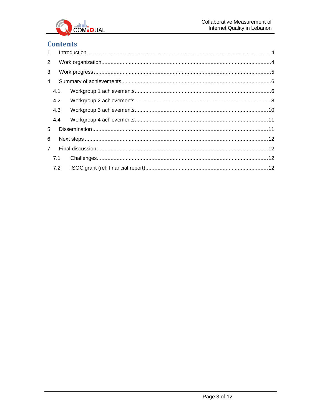

## **Contents**

| $\mathbf{1}$   |     |  |
|----------------|-----|--|
| 2              |     |  |
| 3              |     |  |
| $\overline{4}$ |     |  |
|                | 4.1 |  |
|                | 4.2 |  |
|                | 4.3 |  |
|                | 4.4 |  |
| 5              |     |  |
| 6              |     |  |
| $\overline{7}$ |     |  |
|                | 7.1 |  |
|                | 7.2 |  |
|                |     |  |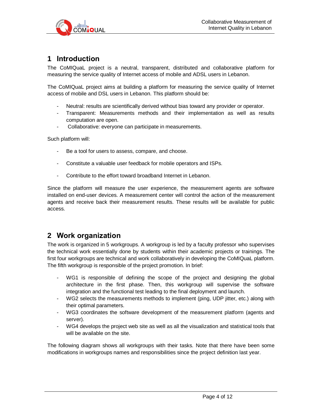

## <span id="page-3-0"></span>**1 Introduction**

The CoMIQuaL project is a neutral, transparent, distributed and collaborative platform for measuring the service quality of Internet access of mobile and ADSL users in Lebanon.

The CoMIQuaL project aims at building a platform for measuring the service quality of Internet access of mobile and DSL users in Lebanon. This platform should be:

- Neutral: results are scientifically derived without bias toward any provider or operator.
- Transparent: Measurements methods and their implementation as well as results computation are open.
- Collaborative: everyone can participate in measurements.

Such platform will:

- Be a tool for users to assess, compare, and choose.
- Constitute a valuable user feedback for mobile operators and ISPs.
- Contribute to the effort toward broadband Internet in Lebanon.

Since the platform will measure the user experience, the measurement agents are software installed on end-user devices. A measurement center will control the action of the measurement agents and receive back their measurement results. These results will be available for public access.

## <span id="page-3-1"></span>**2 Work organization**

The work is organized in 5 workgroups. A workgroup is led by a faculty professor who supervises the technical work essentially done by students within their academic projects or trainings. The first four workgroups are technical and work collaboratively in developing the CoMIQuaL platform. The fifth workgroup is responsible of the project promotion. In brief:

- WG1 is responsible of defining the scope of the project and designing the global architecture in the first phase. Then, this workgroup will supervise the software integration and the functional test leading to the final deployment and launch.
- WG2 selects the measurements methods to implement (ping, UDP jitter, etc.) along with their optimal parameters.
- WG3 coordinates the software development of the measurement platform (agents and server).
- WG4 develops the project web site as well as all the visualization and statistical tools that will be available on the site.

The following diagram shows all workgroups with their tasks. Note that there have been some modifications in workgroups names and responsibilities since the project definition last year.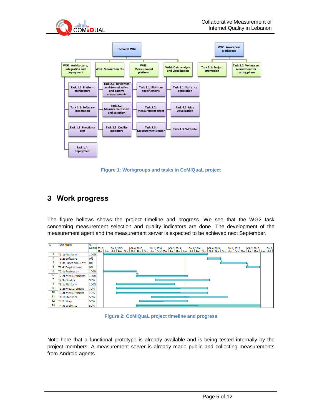



**Figure 1: Workgroups and tasks in CoMIQuaL project**

## <span id="page-4-0"></span>**3 Work progress**

The figure bellows shows the project timeline and progress. We see that the WG2 task concerning measurement selection and quality indicators are done. The development of the measurement agent and the measurement server is expected to be achieved next September.

| <b>ID</b>      | <b>Task Name</b>      | %          |     |     |             |             |             |             |  |             |  |             |                                   |             |  |             |  |             |         |
|----------------|-----------------------|------------|-----|-----|-------------|-------------|-------------|-------------|--|-------------|--|-------------|-----------------------------------|-------------|--|-------------|--|-------------|---------|
|                |                       | Compl 2013 |     |     | Otr 3, 2013 |             | Qtr 4, 2013 | Otr 1, 2014 |  | Qtr 2, 2014 |  | Qtr 3, 2014 |                                   | Qtr 4, 2014 |  | Otr 1, 2015 |  | Otr 2, 2015 | Qtr 3,1 |
|                |                       |            | May | Jun |             | Jul Aug Sep | Oct Nov Dec | Jan Feb Mar |  | Apr May Jun |  |             | Jul   Aug   Sep   Oct   Nov   Dec |             |  | Jan Feb Mar |  | Apr May Jun | Jul     |
|                | T1.1: Platform        | 100%       |     |     |             |             |             |             |  |             |  |             |                                   |             |  |             |  |             |         |
| $\overline{2}$ | T1.2: Software        | 0%         |     |     |             |             |             |             |  |             |  |             |                                   |             |  |             |  |             |         |
| 3              | T1.3: Functional Test | 0%         |     |     |             |             |             |             |  |             |  |             |                                   |             |  |             |  |             |         |
|                | T1.4: Deployment      | 0%         |     |     |             |             |             |             |  |             |  |             |                                   |             |  |             |  |             |         |
| 5              | T2.1: Review on       | 100%       |     |     |             |             |             |             |  |             |  |             |                                   |             |  |             |  |             |         |
| 6              | T2.2: Measurements    | 100%       |     |     |             |             |             |             |  |             |  |             |                                   |             |  |             |  |             |         |
|                | T2.3: Quality         | 90%        |     |     |             |             |             |             |  |             |  |             |                                   |             |  |             |  |             |         |
| 8              | T3.1: Platform        | 100%       |     |     |             |             |             |             |  |             |  |             |                                   |             |  |             |  |             |         |
| 9              | T3.2: Measurement     | 70%        |     |     |             |             |             |             |  |             |  |             |                                   |             |  |             |  |             |         |
| 10             | T3.3: Measurement     | 70%        |     |     |             |             |             |             |  |             |  |             |                                   |             |  |             |  |             |         |
| 11             | T4.1: Statistics      | 50%        |     |     |             |             |             |             |  |             |  |             |                                   |             |  |             |  |             |         |
| 12             | T4.2: Map             | 50%        |     |     |             |             |             |             |  |             |  |             |                                   |             |  |             |  |             |         |
| 13             | T4.3: Web site        | 50%        |     |     |             |             |             |             |  |             |  |             |                                   |             |  |             |  |             |         |

**Figure 2: CoMIQuaL project timeline and progress**

Note here that a functional prototype is already available and is being tested internally by the project members. A measurement server is already made public and collecting measurements from Android agents.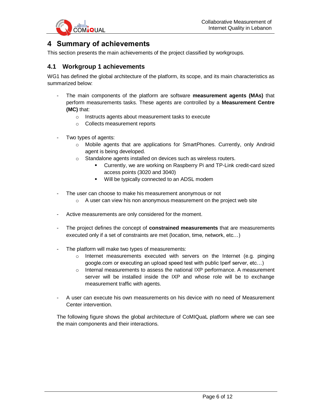

## <span id="page-5-0"></span>**4 Summary of achievements**

This section presents the main achievements of the project classified by workgroups.

#### <span id="page-5-1"></span>**4.1 Workgroup 1 achievements**

WG1 has defined the global architecture of the platform, its scope, and its main characteristics as summarized below:

- The main components of the platform are software **measurement agents (MAs)** that perform measurements tasks. These agents are controlled by a **Measurement Centre (MC)** that:
	- o Instructs agents about measurement tasks to execute
	- o Collects measurement reports
- Two types of agents:
	- o Mobile agents that are applications for SmartPhones. Currently, only Android agent is being developed.
	- o Standalone agents installed on devices such as wireless routers.
		- Currently, we are working on Raspberry Pi and TP-Link credit-card sized access points (3020 and 3040)
		- Will be typically connected to an ADSL modem
- The user can choose to make his measurement anonymous or not
	- o A user can view his non anonymous measurement on the project web site
- Active measurements are only considered for the moment.
- The project defines the concept of **constrained measurements** that are measurements executed only if a set of constraints are met (location, time, network, etc…)
- The platform will make two types of measurements:
	- $\circ$  Internet measurements executed with servers on the Internet (e.g. pinging google.com or executing an upload speed test with public Iperf server, etc…)
	- $\circ$  Internal measurements to assess the national IXP performance. A measurement server will be installed inside the IXP and whose role will be to exchange measurement traffic with agents.
- A user can execute his own measurements on his device with no need of Measurement Center intervention.

The following figure shows the global architecture of CoMIQuaL platform where we can see the main components and their interactions.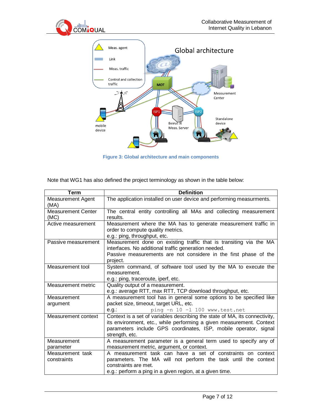



**Figure 3: Global architecture and main components**

Note that WG1 has also defined the project terminology as shown in the table below:

| <b>Term</b>                       | <b>Definition</b>                                                                                                                                                                                                                         |
|-----------------------------------|-------------------------------------------------------------------------------------------------------------------------------------------------------------------------------------------------------------------------------------------|
| <b>Measurement Agent</b><br>(MA)  | The application installed on user device and performing measurments.                                                                                                                                                                      |
| <b>Measurement Center</b><br>(MC) | The central entity controlling all MAs and collecting measurement<br>results.                                                                                                                                                             |
| Active measurement                | Measurement where the MA has to generate measurement traffic in<br>order to compute quality metrics.<br>e.g.: ping, throughput, etc.                                                                                                      |
| Passive measurement               | Measurement done on existing traffic that is transiting via the MA<br>interfaces. No additional traffic generation needed.<br>Passive measurements are not considere in the first phase of the<br>project.                                |
| Measurement tool                  | System command, of software tool used by the MA to execute the<br>measurement.<br>e.g.: ping, traceroute, iperf, etc.                                                                                                                     |
| Measurement metric                | Quality output of a measurement.<br>e.g.: average RTT, max RTT, TCP download throughput, etc.                                                                                                                                             |
| Measurement<br>argument           | A measurement tool has in general some options to be specified like<br>packet size, timeout, target URL, etc.<br>ping -n 10 -1 100 www.test.net<br>e.g.:                                                                                  |
| Measurement context               | Context is a set of variables describing the state of MA, its connectivity,<br>its environment, etc., while performing a given measurement. Context<br>parameters include GPS coordinates, ISP, mobile operator, signal<br>strength, etc. |
| Measurement<br>parameter          | A measurement parameter is a general term used to specify any of<br>measurement metric, argument, or context.                                                                                                                             |
| Measurement task<br>constraints   | A measurement task can have a set of constraints on context<br>parameters. The MA will not perform the task until the context<br>constraints are met.<br>e.g.: perform a ping in a given region, at a given time.                         |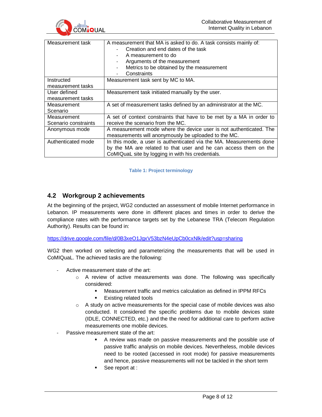

| Measurement task     | A measurement that MA is asked to do. A task consists mainly of:<br>Creation and end dates of the task<br>A measurement to do<br>Arguments of the measurement<br>Metrics to be obtained by the measurement<br>Constraints |  |  |  |  |  |  |
|----------------------|---------------------------------------------------------------------------------------------------------------------------------------------------------------------------------------------------------------------------|--|--|--|--|--|--|
| Instructed           | Measurement task sent by MC to MA.                                                                                                                                                                                        |  |  |  |  |  |  |
| measurement tasks    |                                                                                                                                                                                                                           |  |  |  |  |  |  |
| User defined         | Measurement task initiated manually by the user.                                                                                                                                                                          |  |  |  |  |  |  |
| measurement tasks    |                                                                                                                                                                                                                           |  |  |  |  |  |  |
| Measurement          | A set of measurement tasks defined by an administrator at the MC.                                                                                                                                                         |  |  |  |  |  |  |
| Scenario             |                                                                                                                                                                                                                           |  |  |  |  |  |  |
| Measurement          | A set of context constraints that have to be met by a MA in order to                                                                                                                                                      |  |  |  |  |  |  |
| Scenario constraints | receive the scenario from the MC.                                                                                                                                                                                         |  |  |  |  |  |  |
| Anonymous mode       | A measurement mode where the device user is not authenticated. The<br>measurements will anonymously be uploaded to the MC.                                                                                                |  |  |  |  |  |  |
| Authenticated mode   | In this mode, a user is authenticated via the MA. Measurements done                                                                                                                                                       |  |  |  |  |  |  |
|                      | by the MA are related to that user and he can access them on the                                                                                                                                                          |  |  |  |  |  |  |
|                      | CoMIQuaL site by logging in with his credentials.                                                                                                                                                                         |  |  |  |  |  |  |

#### **Table 1: Project terminology**

#### <span id="page-7-0"></span>**4.2 Workgroup 2 achievements**

At the beginning of the project, WG2 conducted an assessment of mobile Internet performance in Lebanon. IP measurements were done in different places and times in order to derive the compliance rates with the performance targets set by the Lebanese TRA (Telecom Regulation Authority). Results can be found in:

<https://drive.google.com/file/d/0B3xeO1JgxV53bzN4eUpCb0cxNlk/edit?usp=sharing>

WG2 then worked on selecting and parameterizing the measurements that will be used in CoMIQuaL. The achieved tasks are the following:

- Active measurement state of the art:
	- $\circ$  A review of active measurements was done. The following was specifically considered:
		- Measurement traffic and metrics calculation as defined in IPPM RFCs
		- **Existing related tools**
	- $\circ$  A study on active measurements for the special case of mobile devices was also conducted. It considered the specific problems due to mobile devices state (IDLE, CONNECTED, etc.) and the the need for additional care to perform active measurements one mobile devices.
- Passive measurement state of the art:
	- A review was made on passive measurements and the possible use of passive traffic analysis on mobile devices. Nevertheless, mobile devices need to be rooted (accessed in root mode) for passive measurements and hence, passive measurements will not be tackled in the short term
	- See report at :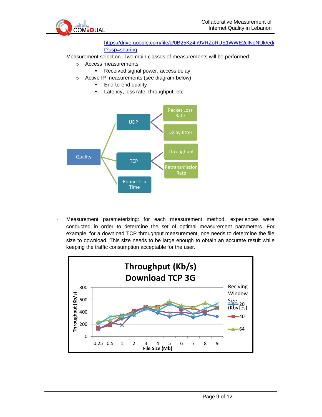

[https://drive.google.com/file/d/0B25Kz4n9VRZoRUE1WWE2clNoNUk/edi](https://drive.google.com/file/d/0B25Kz4n9VRZoRUE1WWE2clNoNUk/edit?usp=sharing) [t?usp=sharing](https://drive.google.com/file/d/0B25Kz4n9VRZoRUE1WWE2clNoNUk/edit?usp=sharing)

- Measurement selection. Two main classes of measurements will be performed:
	- o Access measurements
		- Received signal power, access delay.
	- o Active IP measurements (see diagram below)
		- **End-to-end quality**
		- **Latency, loss rate, throughput, etc.**



Measurement parameterizing: for each measurement method, experiences were conducted in order to determine the set of optimal measurement parameters. For example, for a download TCP throughput measurement, one needs to determine the file size to download. This size needs to be large enough to obtain an accurate result while keeping the traffic consumption acceptable for the user.

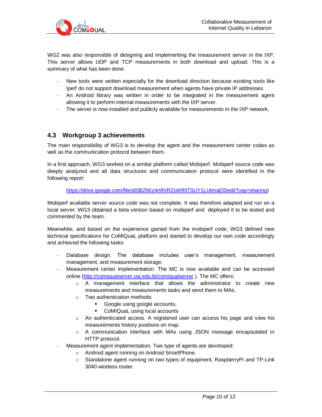

WG2 was also responsible of designing and implementing the measurement server in the IXP. This server allows UDP and TCP measurements in both download and upload. This is a summary of what has been done:

- New tools were written especially for the download direction because existing tools like Iperf do not support download measurement when agents have private IP addresses.
- An Android library was written in order to be integrated in the measurement agent allowing it to perform internal measurements with the IXP server.
- The server is now installed and publicly available for measurements in the IXP network.

#### <span id="page-9-0"></span>**4.3 Workgroup 3 achievements**

The main responsibility of WG3 is to develop the agent and the measurement center codes as well as the communication protocol between them.

In a first approach, WG3 worked on a similar platform called Mobiperf. Mobiperf source code was deeply analyzed and all data structures and communication protocol were identified in the following report:

#### https://drive.google.com/file/d/0B25Kz4n9VRZoWINTSUY1LUtmaE0/edit?usp=sharing)

Mobiperf available server source code was not complete. It was therefore adapted and run on a local server. WG3 obtained a beta version based on mobiperf and deployed it to be tested and commented by the team.

Meanwhile, and based on the experience gained from the mobiperf code, WG3 defined new technical specifications for CoMIQuaL platform and started to develop our own code accordingly and achieved the following tasks:

- Database design. The database includes user's management, measurement management, and measurement storage.
- Measurement center implementation. The MC is now available and can be accessed online [\(http://comiqualserver.usj.edu.lb/comiqualserver](http://comiqualserver.usj.edu.lb/comiqualserver) ). The MC offers:
	- $\circ$  A management interface that allows the administrator to create new measurements and measurements tasks and send them to MAs.
	- o Two authentication methods:
		- Google using google accounts.
		- CoMIQuaL using local accounts
	- $\circ$  An authenticated access. A registered user can access his page and view his measurements history positions on map.
	- $\circ$  A communication interface with MAs using JSON message encapsulated in HTTP protocol.
	- Measurement agent implementation. Two type of agents are developed:
		- o Android agent running on Android SmartPhone.
		- $\circ$  Standalone agent running on two types of equipment, RaspberryPi and TP-Link 3040 wireless router.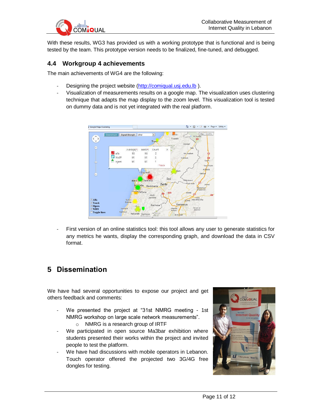

With these results, WG3 has provided us with a working prototype that is functional and is being tested by the team. This prototype version needs to be finalized, fine-tuned, and debugged.

#### <span id="page-10-0"></span>**4.4 Workgroup 4 achievements**

The main achievements of WG4 are the following:

- Designing the project website [\(http://comiqual.usj.edu.lb](http://comiqual.usj.edu.lb/)).
- Visualization of measurements results on a google map. The visualization uses clustering technique that adapts the map display to the zoom level. This visualization tool is tested on dummy data and is not yet integrated with the real platform.



First version of an online statistics tool: this tool allows any user to generate statistics for any metrics he wants, display the corresponding graph, and download the data in CSV format.

## <span id="page-10-1"></span>**5 Dissemination**

We have had several opportunities to expose our project and get others feedback and comments:

- We presented the project at "31st NMRG meeting 1st NMRG workshop on large scale network measurements".
	- o NMRG is a research group of IRTF
- We participated in open source Ma3bar exhibition where students presented their works within the project and invited people to test the platform.
- We have had discussions with mobile operators in Lebanon. Touch operator offered the projected two 3G/4G free dongles for testing.